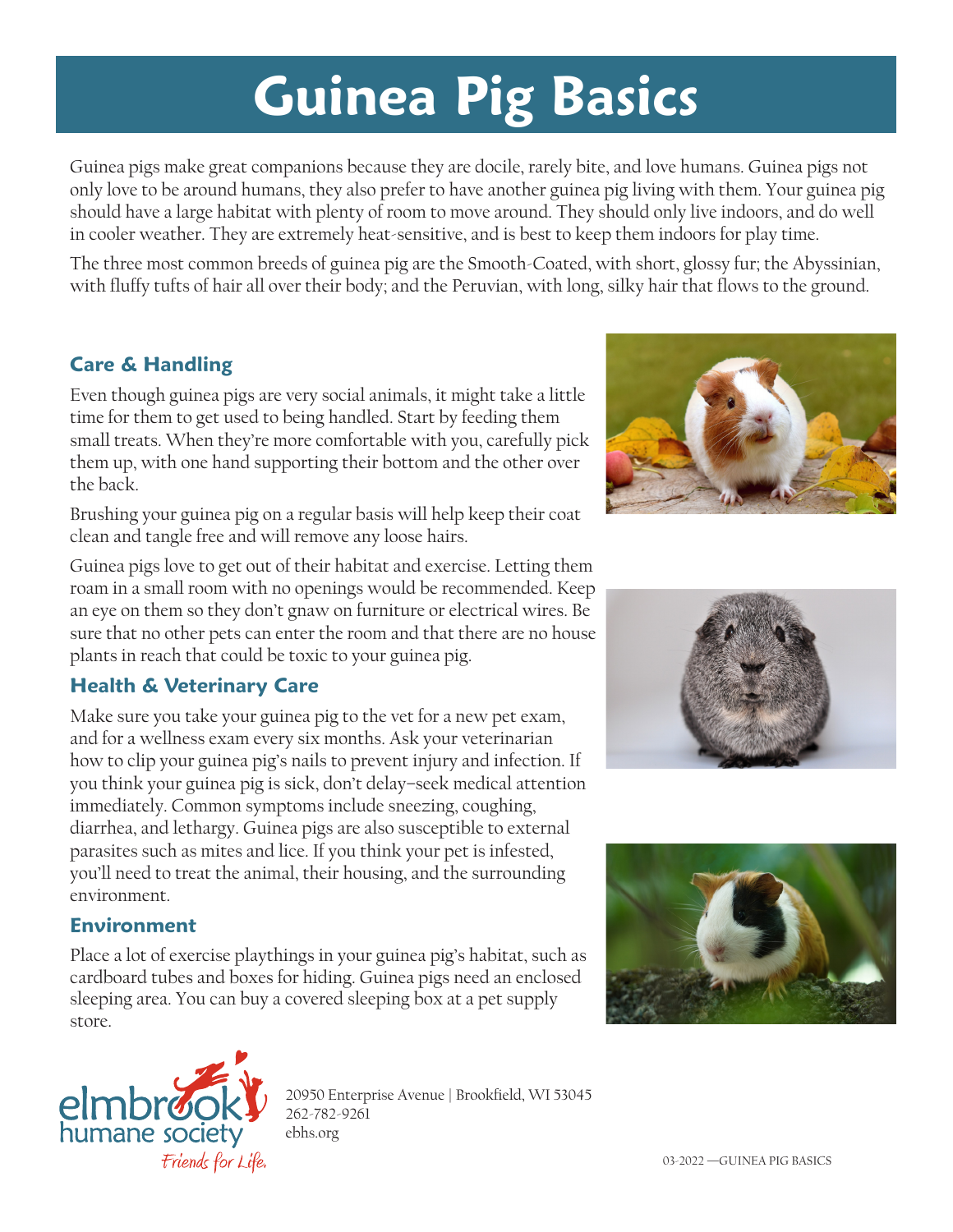# **Guinea Pig Basics**

Guinea pigs make great companions because they are docile, rarely bite, and love humans. Guinea pigs not only love to be around humans, they also prefer to have another guinea pig living with them. Your guinea pig should have a large habitat with plenty of room to move around. They should only live indoors, and do well in cooler weather. They are extremely heat-sensitive, and is best to keep them indoors for play time.

The three most common breeds of guinea pig are the Smooth-Coated, with short, glossy fur; the Abyssinian, with fluffy tufts of hair all over their body; and the Peruvian, with long, silky hair that flows to the ground.

## **Care & Handling**

Even though guinea pigs are very social animals, it might take a little time for them to get used to being handled. Start by feeding them small treats. When they're more comfortable with you, carefully pick them up, with one hand supporting their bottom and the other over the back.

Brushing your guinea pig on a regular basis will help keep their coat clean and tangle free and will remove any loose hairs.

Guinea pigs love to get out of their habitat and exercise. Letting them roam in a small room with no openings would be recommended. Keep an eye on them so they don't gnaw on furniture or electrical wires. Be sure that no other pets can enter the room and that there are no house plants in reach that could be toxic to your guinea pig.

## **Health & Veterinary Care**

Make sure you take your guinea pig to the vet for a new pet exam, and for a wellness exam every six months. Ask your veterinarian how to clip your guinea pig's nails to prevent injury and infection. If you think your guinea pig is sick, don't delay–seek medical attention immediately. Common symptoms include sneezing, coughing, diarrhea, and lethargy. Guinea pigs are also susceptible to external parasites such as mites and lice. If you think your pet is infested, you'll need to treat the animal, their housing, and the surrounding environment.

#### **Environment**

Place a lot of exercise playthings in your guinea pig's habitat, such as cardboard tubes and boxes for hiding. Guinea pigs need an enclosed sleeping area. You can buy a covered sleeping box at a pet supply store.



20950 Enterprise Avenue | Brookfield, WI 53045 262-782-9261 ebhs.org